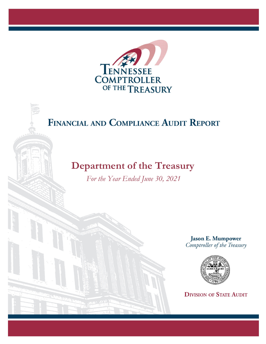

# FINANCIAL AND COMPLIANCE AUDIT REPORT

## **Department of the Treasury**

*For the Year Ended June 30, 2021* 

**Jason E. Mumpower** Comptroller of the Treasury



**DIVISION OF STATE AUDIT**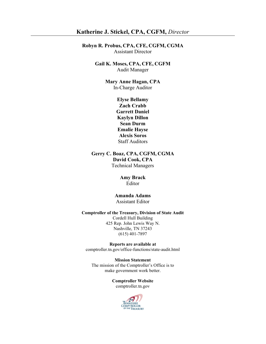#### **Katherine J. Stickel, CPA, CGFM,** *Director*

**Robyn R. Probus, CPA, CFE, CGFM, CGMA**  Assistant Director

> **Gail K. Moses, CPA, CFE, CGFM**  Audit Manager

> > **Mary Anne Hagan, CPA**  In-Charge Auditor

> > > **Elyse Bellamy Zach Crabb Garrett Daniel Kaylyn Dillon Sean Durm Emalie Hayse Alexis Soros**  Staff Auditors

#### **Gerry C. Boaz, CPA, CGFM, CGMA David Cook, CPA**  Technical Managers

#### **Amy Brack**  Editor

#### **Amanda Adams**  Assistant Editor

#### **Comptroller of the Treasury, Division of State Audit**

Cordell Hull Building 425 Rep. John Lewis Way N. Nashville, TN 37243 (615) 401-7897

**Reports are available at**  comptroller.tn.gov/office-functions/state-audit.html

**Mission Statement**  The mission of the Comptroller's Office is to make government work better.

#### **Comptroller Website**  comptroller.tn.gov

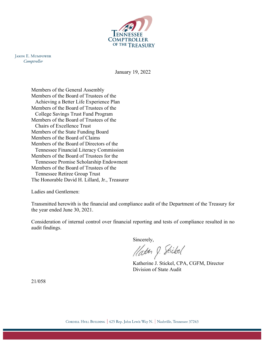

**JASON E. MUMPOWER** Comptroller

January 19, 2022

Members of the General Assembly Members of the Board of Trustees of the Achieving a Better Life Experience Plan Members of the Board of Trustees of the College Savings Trust Fund Program Members of the Board of Trustees of the Chairs of Excellence Trust Members of the State Funding Board Members of the Board of Claims Members of the Board of Directors of the Tennessee Financial Literacy Commission Members of the Board of Trustees for the Tennessee Promise Scholarship Endowment Members of the Board of Trustees of the Tennessee Retiree Group Trust The Honorable David H. Lillard, Jr., Treasurer

Ladies and Gentlemen:

Transmitted herewith is the financial and compliance audit of the Department of the Treasury for the year ended June 30, 2021.

Consideration of internal control over financial reporting and tests of compliance resulted in no audit findings.

Sincerely,

Hatt J. Stickel

Katherine J. Stickel, CPA, CGFM, Director Division of State Audit

21/058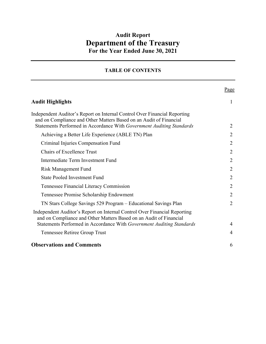## **Audit Report Department of the Treasury For the Year Ended June 30, 2021**

### **TABLE OF CONTENTS**

|                                                                                                                                                 | Page           |
|-------------------------------------------------------------------------------------------------------------------------------------------------|----------------|
| <b>Audit Highlights</b>                                                                                                                         | 1              |
| Independent Auditor's Report on Internal Control Over Financial Reporting<br>and on Compliance and Other Matters Based on an Audit of Financial |                |
| Statements Performed in Accordance With Government Auditing Standards                                                                           | 2              |
| Achieving a Better Life Experience (ABLE TN) Plan                                                                                               | $\overline{2}$ |
| Criminal Injuries Compensation Fund                                                                                                             | 2              |
| <b>Chairs of Excellence Trust</b>                                                                                                               | $\overline{2}$ |
| Intermediate Term Investment Fund                                                                                                               | 2              |
| <b>Risk Management Fund</b>                                                                                                                     | $\overline{2}$ |
| <b>State Pooled Investment Fund</b>                                                                                                             | $\overline{2}$ |
| Tennessee Financial Literacy Commission                                                                                                         | 2              |
| Tennessee Promise Scholarship Endowment                                                                                                         | $\overline{2}$ |
| TN Stars College Savings 529 Program – Educational Savings Plan                                                                                 | $\overline{2}$ |
| Independent Auditor's Report on Internal Control Over Financial Reporting<br>and on Compliance and Other Matters Based on an Audit of Financial |                |
| Statements Performed in Accordance With Government Auditing Standards                                                                           | 4              |
| Tennessee Retiree Group Trust                                                                                                                   | 4              |
| <b>Observations and Comments</b>                                                                                                                | 6              |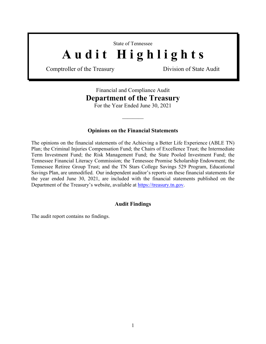# State of Tennessee Audit Highlights

Comptroller of the Treasury Division of State Audit

## Financial and Compliance Audit **Department of the Treasury**

For the Year Ended June 30, 2021

 $\frac{1}{2}$ 

#### **Opinions on the Financial Statements**

The opinions on the financial statements of the Achieving a Better Life Experience (ABLE TN) Plan; the Criminal Injuries Compensation Fund; the Chairs of Excellence Trust; the Intermediate Term Investment Fund; the Risk Management Fund; the State Pooled Investment Fund; the Tennessee Financial Literacy Commission; the Tennessee Promise Scholarship Endowment; the Tennessee Retiree Group Trust; and the TN Stars College Savings 529 Program, Educational Savings Plan, are unmodified. Our independent auditor's reports on these financial statements for the year ended June 30, 2021, are included with the financial statements published on the Department of the Treasury's website, available at [https://treasury.tn.gov.](https://treasury.tn.gov) 

## **Audit Findings**

The audit report contains no findings.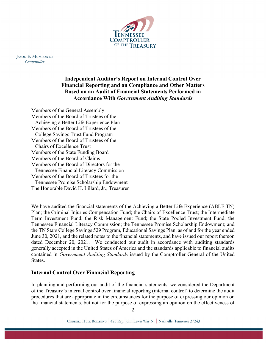

**JASON E. MUMPOWER** Comptroller

### **Independent Auditor's Report on Internal Control Over Financial Reporting and on Compliance and Other Matters Based on an Audit of Financial Statements Performed in Accordance With** *Government Auditing Standards*

Members of the General Assembly Members of the Board of Trustees of the Achieving a Better Life Experience Plan Members of the Board of Trustees of the College Savings Trust Fund Program Members of the Board of Trustees of the Chairs of Excellence Trust Members of the State Funding Board Members of the Board of Claims Members of the Board of Directors for the Tennessee Financial Literacy Commission Members of the Board of Trustees for the Tennessee Promise Scholarship Endowment The Honorable David H. Lillard, Jr., Treasurer

We have audited the financial statements of the Achieving a Better Life Experience (ABLE TN) Plan; the Criminal Injuries Compensation Fund; the Chairs of Excellence Trust; the Intermediate Term Investment Fund; the Risk Management Fund; the State Pooled Investment Fund; the Tennessee Financial Literacy Commission; the Tennessee Promise Scholarship Endowment; and the TN Stars College Savings 529 Program, Educational Savings Plan, as of and for the year ended June 30, 2021, and the related notes to the financial statements, and have issued our report thereon dated December 20, 2021. We conducted our audit in accordance with auditing standards generally accepted in the United States of America and the standards applicable to financial audits contained in *Government Auditing Standards* issued by the Comptroller General of the United States.

#### **Internal Control Over Financial Reporting**

In planning and performing our audit of the financial statements, we considered the Department of the Treasury's internal control over financial reporting (internal control) to determine the audit procedures that are appropriate in the circumstances for the purpose of expressing our opinion on the financial statements, but not for the purpose of expressing an opinion on the effectiveness of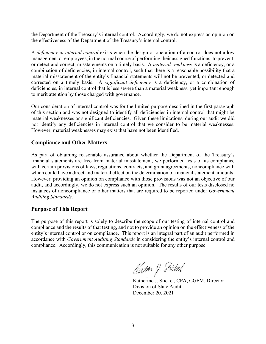the Department of the Treasury's internal control. Accordingly, we do not express an opinion on the effectiveness of the Department of the Treasury's internal control.

A *deficiency in internal control* exists when the design or operation of a control does not allow management or employees, in the normal course of performing their assigned functions, to prevent, or detect and correct, misstatements on a timely basis. A *material weakness* is a deficiency, or a combination of deficiencies, in internal control, such that there is a reasonable possibility that a material misstatement of the entity's financial statements will not be prevented, or detected and corrected on a timely basis. A *significant deficiency* is a deficiency, or a combination of deficiencies, in internal control that is less severe than a material weakness, yet important enough to merit attention by those charged with governance.

Our consideration of internal control was for the limited purpose described in the first paragraph of this section and was not designed to identify all deficiencies in internal control that might be material weaknesses or significant deficiencies. Given these limitations, during our audit we did not identify any deficiencies in internal control that we consider to be material weaknesses. However, material weaknesses may exist that have not been identified.

#### **Compliance and Other Matters**

As part of obtaining reasonable assurance about whether the Department of the Treasury's financial statements are free from material misstatement, we performed tests of its compliance with certain provisions of laws, regulations, contracts, and grant agreements, noncompliance with which could have a direct and material effect on the determination of financial statement amounts. However, providing an opinion on compliance with those provisions was not an objective of our audit, and accordingly, we do not express such an opinion. The results of our tests disclosed no instances of noncompliance or other matters that are required to be reported under *Government Auditing Standards*.

#### **Purpose of This Report**

The purpose of this report is solely to describe the scope of our testing of internal control and compliance and the results of that testing, and not to provide an opinion on the effectiveness of the entity's internal control or on compliance. This report is an integral part of an audit performed in accordance with *Government Auditing Standards* in considering the entity's internal control and compliance. Accordingly, this communication is not suitable for any other purpose.

Hatter J. Stickel

 Katherine J. Stickel, CPA, CGFM, Director Division of State Audit December 20, 2021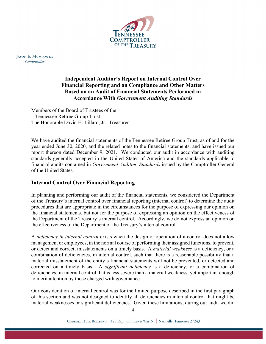

**JASON E. MUMPOWER** Comptroller

### **Independent Auditor's Report on Internal Control Over Financial Reporting and on Compliance and Other Matters Based on an Audit of Financial Statements Performed in Accordance With** *Government Auditing Standards*

Members of the Board of Trustees of the Tennessee Retiree Group Trust The Honorable David H. Lillard, Jr., Treasurer

We have audited the financial statements of the Tennessee Retiree Group Trust, as of and for the year ended June 30, 2020, and the related notes to the financial statements, and have issued our report thereon dated December 9, 2021. We conducted our audit in accordance with auditing standards generally accepted in the United States of America and the standards applicable to financial audits contained in *Government Auditing Standards* issued by the Comptroller General of the United States.

#### **Internal Control Over Financial Reporting**

In planning and performing our audit of the financial statements, we considered the Department of the Treasury's internal control over financial reporting (internal control) to determine the audit procedures that are appropriate in the circumstances for the purpose of expressing our opinion on the financial statements, but not for the purpose of expressing an opinion on the effectiveness of the Department of the Treasury's internal control. Accordingly, we do not express an opinion on the effectiveness of the Department of the Treasury's internal control.

A *deficiency in internal control* exists when the design or operation of a control does not allow management or employees, in the normal course of performing their assigned functions, to prevent, or detect and correct, misstatements on a timely basis. A *material weakness* is a deficiency, or a combination of deficiencies, in internal control, such that there is a reasonable possibility that a material misstatement of the entity's financial statements will not be prevented, or detected and corrected on a timely basis. A *significant deficiency* is a deficiency, or a combination of deficiencies, in internal control that is less severe than a material weakness, yet important enough to merit attention by those charged with governance.

Our consideration of internal control was for the limited purpose described in the first paragraph of this section and was not designed to identify all deficiencies in internal control that might be material weaknesses or significant deficiencies. Given these limitations, during our audit we did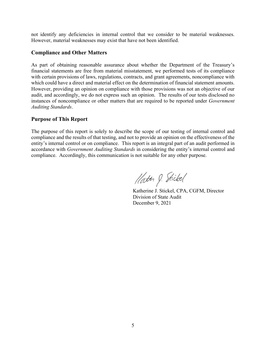not identify any deficiencies in internal control that we consider to be material weaknesses. However, material weaknesses may exist that have not been identified.

#### **Compliance and Other Matters**

As part of obtaining reasonable assurance about whether the Department of the Treasury's financial statements are free from material misstatement, we performed tests of its compliance with certain provisions of laws, regulations, contracts, and grant agreements, noncompliance with which could have a direct and material effect on the determination of financial statement amounts. However, providing an opinion on compliance with those provisions was not an objective of our audit, and accordingly, we do not express such an opinion. The results of our tests disclosed no instances of noncompliance or other matters that are required to be reported under *Government Auditing Standards*.

#### **Purpose of This Report**

The purpose of this report is solely to describe the scope of our testing of internal control and compliance and the results of that testing, and not to provide an opinion on the effectiveness of the entity's internal control or on compliance. This report is an integral part of an audit performed in accordance with *Government Auditing Standards* in considering the entity's internal control and compliance. Accordingly, this communication is not suitable for any other purpose.

Hatter J. Stickel

 Katherine J. Stickel, CPA, CGFM, Director Division of State Audit December 9, 2021